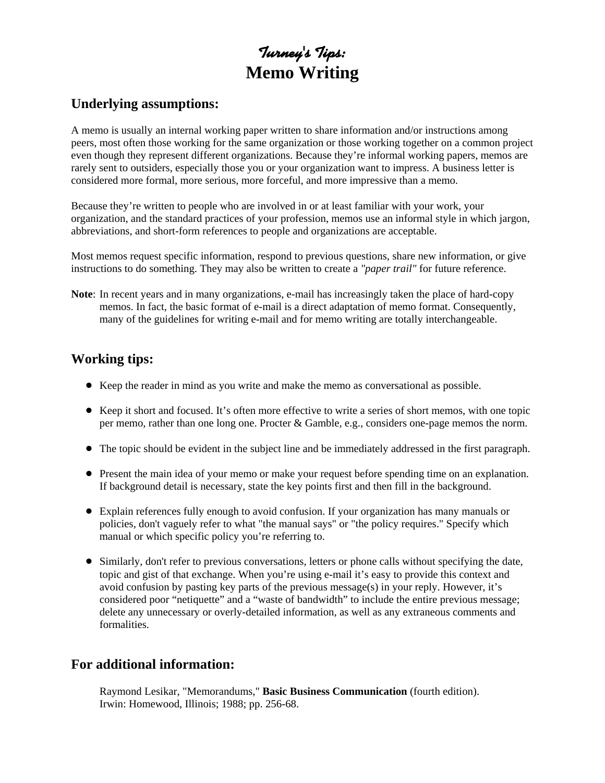# **Turney's Tips: Memo Writing**

#### **Underlying assumptions:**

A memo is usually an internal working paper written to share information and/or instructions among peers, most often those working for the same organization or those working together on a common project even though they represent different organizations. Because they're informal working papers, memos are rarely sent to outsiders, especially those you or your organization want to impress. A business letter is considered more formal, more serious, more forceful, and more impressive than a memo.

Because they're written to people who are involved in or at least familiar with your work, your organization, and the standard practices of your profession, memos use an informal style in which jargon, abbreviations, and short-form references to people and organizations are acceptable.

Most memos request specific information, respond to previous questions, share new information, or give instructions to do something. They may also be written to create a *"paper trail"* for future reference.

**Note**: In recent years and in many organizations, e-mail has increasingly taken the place of hard-copy memos. In fact, the basic format of e-mail is a direct adaptation of memo format. Consequently, many of the guidelines for writing e-mail and for memo writing are totally interchangeable.

# **Working tips:**

- ! Keep the reader in mind as you write and make the memo as conversational as possible.
- ! Keep it short and focused. It's often more effective to write a series of short memos, with one topic per memo, rather than one long one. Procter & Gamble, e.g., considers one-page memos the norm.
- ! The topic should be evident in the subject line and be immediately addressed in the first paragraph.
- ! Present the main idea of your memo or make your request before spending time on an explanation. If background detail is necessary, state the key points first and then fill in the background.
- ! Explain references fully enough to avoid confusion. If your organization has many manuals or policies, don't vaguely refer to what "the manual says" or "the policy requires." Specify which manual or which specific policy you're referring to.
- ! Similarly, don't refer to previous conversations, letters or phone calls without specifying the date, topic and gist of that exchange. When you're using e-mail it's easy to provide this context and avoid confusion by pasting key parts of the previous message(s) in your reply. However, it's considered poor "netiquette" and a "waste of bandwidth" to include the entire previous message; delete any unnecessary or overly-detailed information, as well as any extraneous comments and formalities.

## **For additional information:**

Raymond Lesikar, "Memorandums," **Basic Business Communication** (fourth edition). Irwin: Homewood, Illinois; 1988; pp. 256-68.